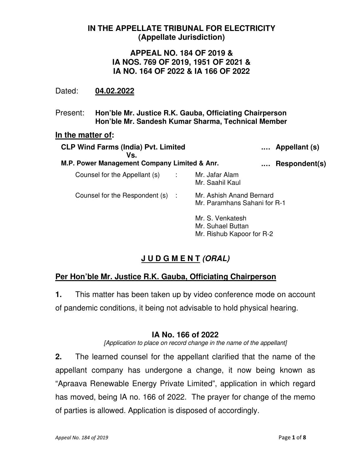## **IN THE APPELLATE TRIBUNAL FOR ELECTRICITY (Appellate Jurisdiction)**

## **APPEAL NO. 184 OF 2019 & IA NOS. 769 OF 2019, 1951 OF 2021 & IA NO. 164 OF 2022 & IA 166 OF 2022**

### Dated: **04.02.2022**

Present: **Hon'ble Mr. Justice R.K. Gauba, Officiating Chairperson Hon'ble Mr. Sandesh Kumar Sharma, Technical Member** 

#### **In the matter of:**

| <b>CLP Wind Farms (India) Pvt. Limited</b><br>Vs. |            |                                                                    | Appellant (s) |
|---------------------------------------------------|------------|--------------------------------------------------------------------|---------------|
| M.P. Power Management Company Limited & Anr.      |            |                                                                    | Respondent(s) |
| Counsel for the Appellant (s)                     | $\sim 100$ | Mr. Jafar Alam<br>Mr. Saahil Kaul                                  |               |
| Counsel for the Respondent (s) :                  |            | Mr. Ashish Anand Bernard<br>Mr. Paramhans Sahani for R-1           |               |
|                                                   |            | Mr. S. Venkatesh<br>Mr. Suhael Buttan<br>Mr. Rishub Kapoor for R-2 |               |

# **J U D G M E N T (ORAL)**

## **Per Hon'ble Mr. Justice R.K. Gauba, Officiating Chairperson**

**1.** This matter has been taken up by video conference mode on account of pandemic conditions, it being not advisable to hold physical hearing.

### **IA No. 166 of 2022**

[Application to place on record change in the name of the appellant]

**2.** The learned counsel for the appellant clarified that the name of the appellant company has undergone a change, it now being known as "Apraava Renewable Energy Private Limited", application in which regard has moved, being IA no. 166 of 2022. The prayer for change of the memo of parties is allowed. Application is disposed of accordingly.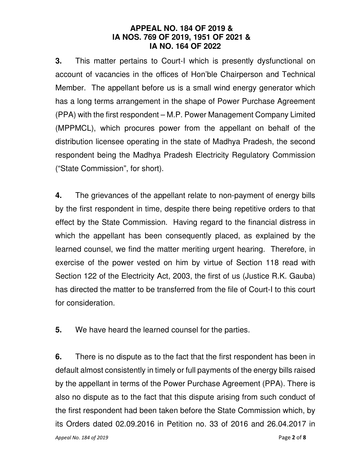### **APPEAL NO. 184 OF 2019 & IA NOS. 769 OF 2019, 1951 OF 2021 & IA NO. 164 OF 2022**

**3.** This matter pertains to Court-I which is presently dysfunctional on account of vacancies in the offices of Hon'ble Chairperson and Technical Member. The appellant before us is a small wind energy generator which has a long terms arrangement in the shape of Power Purchase Agreement (PPA) with the first respondent – M.P. Power Management Company Limited (MPPMCL), which procures power from the appellant on behalf of the distribution licensee operating in the state of Madhya Pradesh, the second respondent being the Madhya Pradesh Electricity Regulatory Commission ("State Commission", for short).

**4.** The grievances of the appellant relate to non-payment of energy bills by the first respondent in time, despite there being repetitive orders to that effect by the State Commission. Having regard to the financial distress in which the appellant has been consequently placed, as explained by the learned counsel, we find the matter meriting urgent hearing. Therefore, in exercise of the power vested on him by virtue of Section 118 read with Section 122 of the Electricity Act, 2003, the first of us (Justice R.K. Gauba) has directed the matter to be transferred from the file of Court-I to this court for consideration.

**5.** We have heard the learned counsel for the parties.

**6.** There is no dispute as to the fact that the first respondent has been in default almost consistently in timely or full payments of the energy bills raised by the appellant in terms of the Power Purchase Agreement (PPA). There is also no dispute as to the fact that this dispute arising from such conduct of the first respondent had been taken before the State Commission which, by its Orders dated 02.09.2016 in Petition no. 33 of 2016 and 26.04.2017 in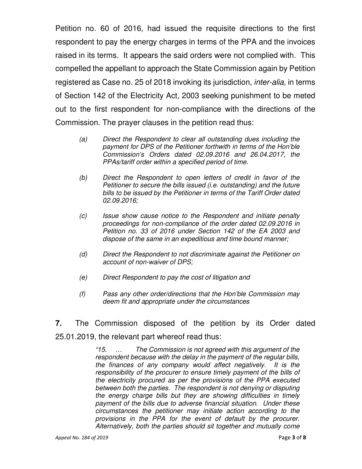Petition no. 60 of 2016, had issued the requisite directions to the first respondent to pay the energy charges in terms of the PPA and the invoices raised in its terms. It appears the said orders were not complied with. This compelled the appellant to approach the State Commission again by Petition registered as Case no. 25 of 2018 invoking its jurisdiction, *inter-alia*, in terms of Section 142 of the Electricity Act, 2003 seeking punishment to be meted out to the first respondent for non-compliance with the directions of the Commission. The prayer clauses in the petition read thus:

- (a) Direct the Respondent to clear all outstanding dues including the payment for DPS of the Petitioner forthwith in terms of the Hon'ble Commission's Orders dated 02.09.2016 and 26.04.2017, the PPAs/tariff order within a specified period of time.
- (b) Direct the Respondent to open letters of credit in favor of the Petitioner to secure the bills issued (i.e. outstanding) and the future bills to be issued by the Petitioner in terms of the Tariff Order dated 02.09.2016;
- (c) Issue show cause notice to the Respondent and initiate penalty proceedings for non-compliance of the order dated 02.09.2016 in Petition no. 33 of 2016 under Section 142 of the EA 2003 and dispose of the same in an expeditious and time bound manner;
- (d) Direct the Respondent to not discriminate against the Petitioner on account of non-waiver of DPS;
- (e) Direct Respondent to pay the cost of litigation and
- (f) Pass any other order/directions that the Hon'ble Commission may deem fit and appropriate under the circumstances
- **7.** The Commission disposed of the petition by its Order dated 25.01.2019, the relevant part whereof read thus:

"15. … The Commission is not agreed with this argument of the respondent because with the delay in the payment of the regular bills, the finances of any company would affect negatively. It is the responsibility of the procurer to ensure timely payment of the bills of the electricity procured as per the provisions of the PPA executed between both the parties. The respondent is not denying or disputing the energy charge bills but they are showing difficulties in timely payment of the bills due to adverse financial situation. Under these circumstances the petitioner may initiate action according to the provisions in the PPA for the event of default by the procurer. Alternatively, both the parties should sit together and mutually come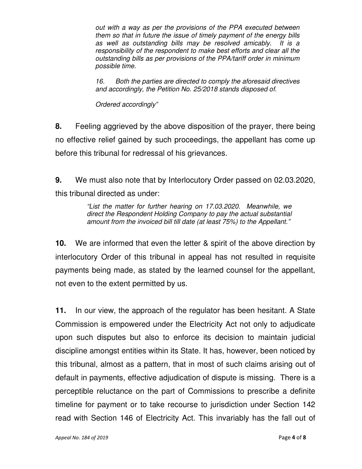out with a way as per the provisions of the PPA executed between them so that in future the issue of timely payment of the energy bills as well as outstanding bills may be resolved amicably. It is a responsibility of the respondent to make best efforts and clear all the outstanding bills as per provisions of the PPA/tariff order in minimum possible time.

16. Both the parties are directed to comply the aforesaid directives and accordingly, the Petition No. 25/2018 stands disposed of.

Ordered accordingly"

**8.** Feeling aggrieved by the above disposition of the prayer, there being no effective relief gained by such proceedings, the appellant has come up before this tribunal for redressal of his grievances.

**9.** We must also note that by Interlocutory Order passed on 02.03.2020, this tribunal directed as under:

> "List the matter for further hearing on 17.03.2020. Meanwhile, we direct the Respondent Holding Company to pay the actual substantial amount from the invoiced bill till date (at least 75%) to the Appellant."

**10.** We are informed that even the letter & spirit of the above direction by interlocutory Order of this tribunal in appeal has not resulted in requisite payments being made, as stated by the learned counsel for the appellant, not even to the extent permitted by us.

**11.** In our view, the approach of the regulator has been hesitant. A State Commission is empowered under the Electricity Act not only to adjudicate upon such disputes but also to enforce its decision to maintain judicial discipline amongst entities within its State. It has, however, been noticed by this tribunal, almost as a pattern, that in most of such claims arising out of default in payments, effective adjudication of dispute is missing. There is a perceptible reluctance on the part of Commissions to prescribe a definite timeline for payment or to take recourse to jurisdiction under Section 142 read with Section 146 of Electricity Act. This invariably has the fall out of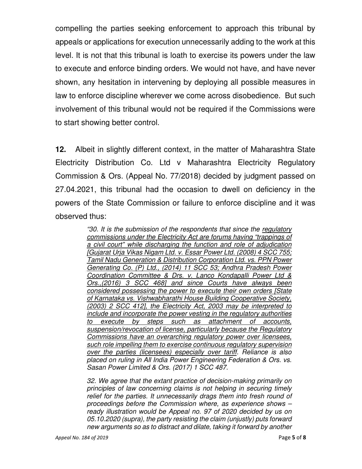compelling the parties seeking enforcement to approach this tribunal by appeals or applications for execution unnecessarily adding to the work at this level. It is not that this tribunal is loath to exercise its powers under the law to execute and enforce binding orders. We would not have, and have never shown, any hesitation in intervening by deploying all possible measures in law to enforce discipline wherever we come across disobedience. But such involvement of this tribunal would not be required if the Commissions were to start showing better control.

**12.** Albeit in slightly different context, in the matter of Maharashtra State Electricity Distribution Co. Ltd v Maharashtra Electricity Regulatory Commission & Ors. (Appeal No. 77/2018) decided by judgment passed on 27.04.2021, this tribunal had the occasion to dwell on deficiency in the powers of the State Commission or failure to enforce discipline and it was observed thus:

> "30. It is the submission of the respondents that since the regulatory commissions under the Electricity Act are forums having "trappings of a civil court" while discharging the function and role of adjudication [Gujarat Urja Vikas Nigam Ltd. v. Essar Power Ltd. (2008) 4 SCC 755; Tamil Nadu Generation & Distribution Corporation Ltd. vs. PPN Power Generating Co. (P) Ltd., (2014) 11 SCC 53; Andhra Pradesh Power Coordination Committee & Drs. v. Lanco Kondapalli Power Ltd & Ors.,(2016) 3 SCC 468] and since Courts have always been considered possessing the power to execute their own orders [State of Karnataka vs. Vishwabharathi House Building Cooperative Society, (2003) 2 SCC 412], the Electricity Act, 2003 may be interpreted to include and incorporate the power vesting in the regulatory authorities to execute by steps such as attachment of accounts, suspension/revocation of license, particularly because the Regulatory Commissions have an overarching regulatory power over licensees, such role impelling them to exercise continuous regulatory supervision over the parties (licensees) especially over tariff. Reliance is also placed on ruling in All India Power Engineering Federation & Ors. vs. Sasan Power Limited & Ors. (2017) 1 SCC 487.

> 32. We agree that the extant practice of decision-making primarily on principles of law concerning claims is not helping in securing timely relief for the parties. It unnecessarily drags them into fresh round of proceedings before the Commission where, as experience shows – ready illustration would be Appeal no. 97 of 2020 decided by us on 05.10.2020 (supra), the party resisting the claim (unjustly) puts forward new arguments so as to distract and dilate, taking it forward by another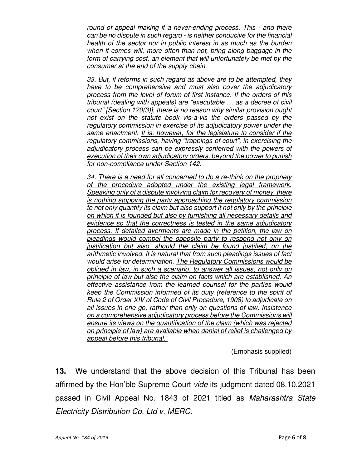round of appeal making it a never-ending process. This - and there can be no dispute in such regard - is neither conducive for the financial health of the sector nor in public interest in as much as the burden when it comes will, more often than not, bring along baggage in the form of carrying cost, an element that will unfortunately be met by the consumer at the end of the supply chain.

33. But, if reforms in such regard as above are to be attempted, they have to be comprehensive and must also cover the adjudicatory process from the level of forum of first instance. If the orders of this tribunal (dealing with appeals) are "executable … as a decree of civil court" [Section 120(3)], there is no reason why similar provision ought not exist on the statute book vis-à-vis the orders passed by the regulatory commission in exercise of its adjudicatory power under the same enactment. It is, however, for the legislature to consider if the regulatory commissions, having "trappings of court", in exercising the adjudicatory process can be expressly conferred with the powers of execution of their own adjudicatory orders, beyond the power to punish for non-compliance under Section 142.

34. There is a need for all concerned to do a re-think on the propriety of the procedure adopted under the existing legal framework. Speaking only of a dispute involving claim for recovery of money, there is nothing stopping the party approaching the regulatory commission to not only quantify its claim but also support it not only by the principle on which it is founded but also by furnishing all necessary details and evidence so that the correctness is tested in the same adjudicatory process. If detailed averments are made in the petition, the law on pleadings would compel the opposite party to respond not only on justification but also, should the claim be found justified, on the arithmetic involved. It is natural that from such pleadings issues of fact would arise for determination. The Regulatory Commissions would be obliged in law, in such a scenario, to answer all issues, not only on principle of law but also the claim on facts which are established. An effective assistance from the learned counsel for the parties would keep the Commission informed of its duty (reference to the spirit of Rule 2 of Order XIV of Code of Civil Procedure, 1908) to adjudicate on all issues in one go, rather than only on questions of law. Insistence on a comprehensive adjudicatory process before the Commissions will ensure its views on the quantification of the claim (which was rejected on principle of law) are available when denial of relief is challenged by appeal before this tribunal."

(Emphasis supplied)

**13.** We understand that the above decision of this Tribunal has been affirmed by the Hon'ble Supreme Court vide its judgment dated 08.10.2021 passed in Civil Appeal No. 1843 of 2021 titled as Maharashtra State Electricity Distribution Co. Ltd v. MERC.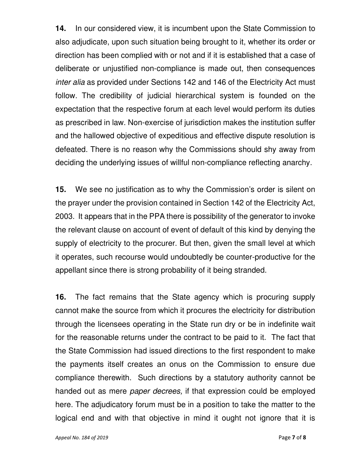**14.** In our considered view, it is incumbent upon the State Commission to also adjudicate, upon such situation being brought to it, whether its order or direction has been complied with or not and if it is established that a case of deliberate or unjustified non-compliance is made out, then consequences inter alia as provided under Sections 142 and 146 of the Electricity Act must follow. The credibility of judicial hierarchical system is founded on the expectation that the respective forum at each level would perform its duties as prescribed in law. Non-exercise of jurisdiction makes the institution suffer and the hallowed objective of expeditious and effective dispute resolution is defeated. There is no reason why the Commissions should shy away from deciding the underlying issues of willful non-compliance reflecting anarchy.

**15.** We see no justification as to why the Commission's order is silent on the prayer under the provision contained in Section 142 of the Electricity Act, 2003. It appears that in the PPA there is possibility of the generator to invoke the relevant clause on account of event of default of this kind by denying the supply of electricity to the procurer. But then, given the small level at which it operates, such recourse would undoubtedly be counter-productive for the appellant since there is strong probability of it being stranded.

**16.** The fact remains that the State agency which is procuring supply cannot make the source from which it procures the electricity for distribution through the licensees operating in the State run dry or be in indefinite wait for the reasonable returns under the contract to be paid to it. The fact that the State Commission had issued directions to the first respondent to make the payments itself creates an onus on the Commission to ensure due compliance therewith. Such directions by a statutory authority cannot be handed out as mere *paper decrees*, if that expression could be employed here. The adjudicatory forum must be in a position to take the matter to the logical end and with that objective in mind it ought not ignore that it is